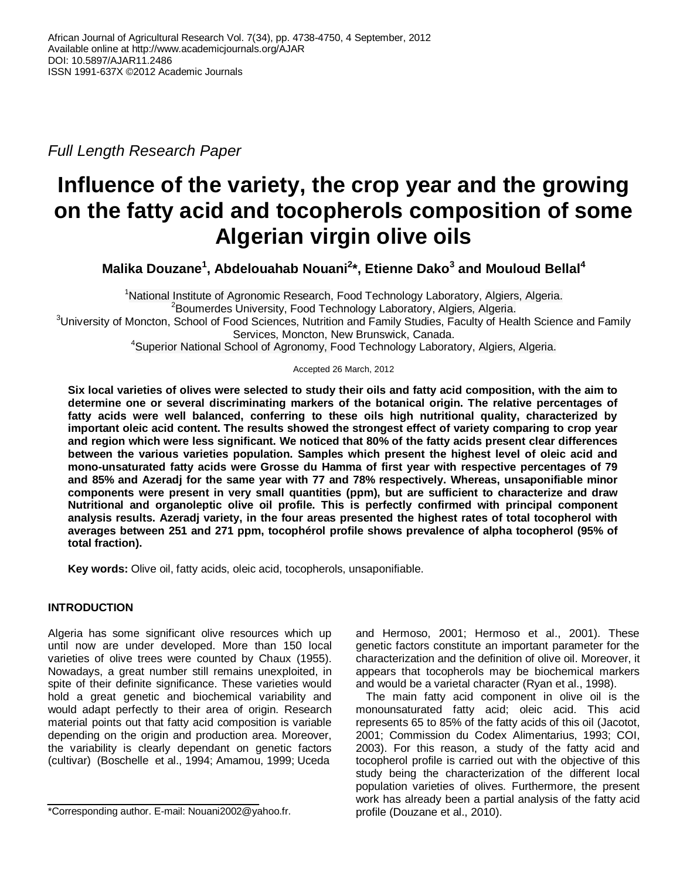*Full Length Research Paper* 

# **Influence of the variety, the crop year and the growing on the fatty acid and tocopherols composition of some Algerian virgin olive oils**

**Malika Douzane<sup>1</sup> , Abdelouahab Nouani<sup>2</sup> \*, Etienne Dako<sup>3</sup> and Mouloud Bellal<sup>4</sup>**

<sup>1</sup>National Institute of Agronomic Research, Food Technology Laboratory, Algiers, Algeria. <sup>2</sup>Boumerdes University, Food Technology Laboratory, Algiers, Algeria. <sup>3</sup>University of Moncton, School of Food Sciences, Nutrition and Family Studies, Faculty of Health Science and Family Services, Moncton, New Brunswick, Canada. <sup>4</sup>Superior National School of Agronomy, Food Technology Laboratory, Algiers, Algeria.

Accepted 26 March, 2012

**Six local varieties of olives were selected to study their oils and fatty acid composition, with the aim to determine one or several discriminating markers of the botanical origin. The relative percentages of fatty acids were well balanced, conferring to these oils high nutritional quality, characterized by important oleic acid content. The results showed the strongest effect of variety comparing to crop year and region which were less significant. We noticed that 80% of the fatty acids present clear differences between the various varieties population. Samples which present the highest level of oleic acid and mono-unsaturated fatty acids were Grosse du Hamma of first year with respective percentages of 79 and 85% and Azeradj for the same year with 77 and 78% respectively. Whereas, unsaponifiable minor components were present in very small quantities (ppm), but are sufficient to characterize and draw Nutritional and organoleptic olive oil profile. This is perfectly confirmed with principal component analysis results. Azeradj variety, in the four areas presented the highest rates of total tocopherol with averages between 251 and 271 ppm, tocophérol profile shows prevalence of alpha tocopherol (95% of total fraction).**

**Key words:** Olive oil, fatty acids, oleic acid, tocopherols, unsaponifiable.

# **INTRODUCTION**

Algeria has some significant olive resources which up until now are under developed. More than 150 local varieties of olive trees were counted by Chaux (1955). Nowadays, a great number still remains unexploited, in spite of their definite significance. These varieties would hold a great genetic and biochemical variability and would adapt perfectly to their area of origin. Research material points out that fatty acid composition is variable depending on the origin and production area. Moreover, the variability is clearly dependant on genetic factors (cultivar) (Boschelle et al., 1994; Amamou, 1999; Uceda

and Hermoso, 2001; Hermoso et al., 2001). These genetic factors constitute an important parameter for the characterization and the definition of olive oil. Moreover, it appears that tocopherols may be biochemical markers and would be a varietal character (Ryan et al., 1998).

The main fatty acid component in olive oil is the monounsaturated fatty acid; oleic acid. This acid represents 65 to 85% of the fatty acids of this oil (Jacotot, 2001; Commission du Codex Alimentarius, 1993; COI, 2003). For this reason, a study of the fatty acid and tocopherol profile is carried out with the objective of this study being the characterization of the different local population varieties of olives. Furthermore, the present work has already been a partial analysis of the fatty acid profile (Douzane et al., 2010).

<sup>\*</sup>Corresponding author. E-mail: Nouani2002@yahoo.fr.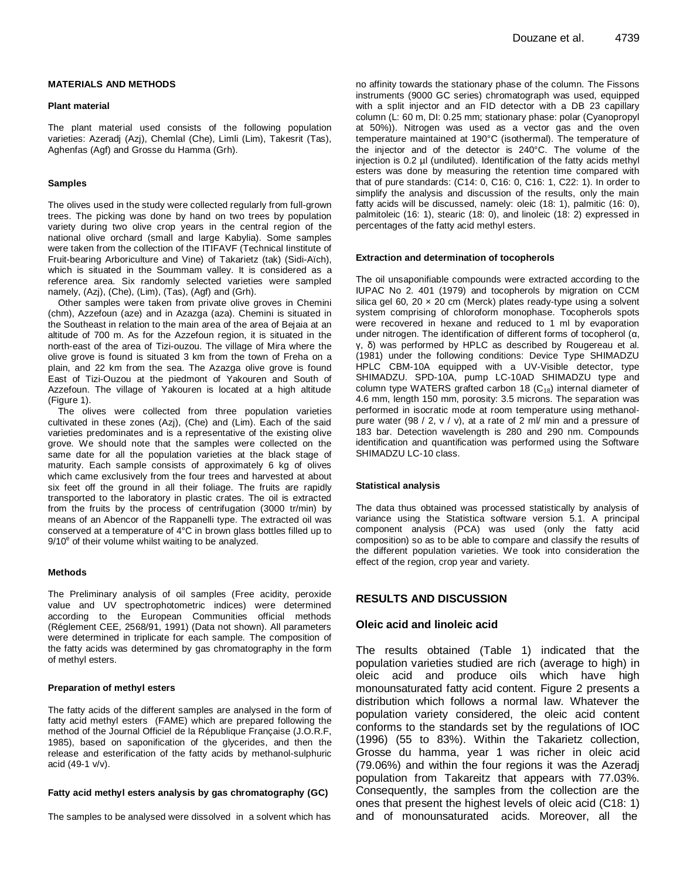#### **MATERIALS AND METHODS**

#### **Plant material**

The plant material used consists of the following population varieties: Azeradj (Azj), Chemlal (Che), Limli (Lim), Takesrit (Tas), Aghenfas (Agf) and Grosse du Hamma (Grh).

#### **Samples**

The olives used in the study were collected regularly from full-grown trees. The picking was done by hand on two trees by population variety during two olive crop years in the central region of the national olive orchard (small and large Kabylia). Some samples were taken from the collection of the ITIFAVF (Technical Iinstitute of Fruit-bearing Arboriculture and Vine) of Takarietz (tak) (Sidi-Aïch), which is situated in the Soummam valley. It is considered as a reference area. Six randomly selected varieties were sampled namely, (Azj), (Che), (Lim), (Tas), (Agf) and (Grh).

Other samples were taken from private olive groves in Chemini (chm), Azzefoun (aze) and in Azazga (aza). Chemini is situated in the Southeast in relation to the main area of the area of Bejaia at an altitude of 700 m. As for the Azzefoun region, it is situated in the north-east of the area of Tizi-ouzou. The village of Mira where the olive grove is found is situated 3 km from the town of Freha on a plain, and 22 km from the sea. The Azazga olive grove is found East of Tizi-Ouzou at the piedmont of Yakouren and South of Azzefoun. The village of Yakouren is located at a high altitude (Figure 1).

The olives were collected from three population varieties cultivated in these zones (Azj), (Che) and (Lim). Each of the said varieties predominates and is a representative of the existing olive grove. We should note that the samples were collected on the same date for all the population varieties at the black stage of maturity. Each sample consists of approximately 6 kg of olives which came exclusively from the four trees and harvested at about six feet off the ground in all their foliage. The fruits are rapidly transported to the laboratory in plastic crates. The oil is extracted from the fruits by the process of centrifugation (3000 tr/min) by means of an Abencor of the Rappanelli type. The extracted oil was conserved at a temperature of 4°C in brown glass bottles filled up to  $9/10<sup>e</sup>$  of their volume whilst waiting to be analyzed.

#### **Methods**

The Preliminary analysis of oil samples (Free acidity, peroxide value and UV spectrophotometric indices) were determined according to the European Communities official methods (Réglement CEE, 2568/91, 1991) (Data not shown). All parameters were determined in triplicate for each sample. The composition of the fatty acids was determined by gas chromatography in the form of methyl esters.

#### **Preparation of methyl esters**

The fatty acids of the different samples are analysed in the form of fatty acid methyl esters (FAME) which are prepared following the method of the Journal Officiel de la République Française (J.O.R.F, 1985), based on saponification of the glycerides, and then the release and esterification of the fatty acids by methanol-sulphuric acid (49-1 v/v).

#### **Fatty acid methyl esters analysis by gas chromatography (GC)**

The samples to be analysed were dissolved in a solvent which has

no affinity towards the stationary phase of the column. The Fissons instruments (9000 GC series) chromatograph was used, equipped with a split injector and an FID detector with a DB 23 capillary column (L: 60 m, DI: 0.25 mm; stationary phase: polar (Cyanopropyl at 50%)). Nitrogen was used as a vector gas and the oven temperature maintained at 190°C (isothermal). The temperature of the injector and of the detector is 240°C. The volume of the injection is 0.2 µl (undiluted). Identification of the fatty acids methyl esters was done by measuring the retention time compared with that of pure standards: (C14: 0, C16: 0, C16: 1, C22: 1). In order to simplify the analysis and discussion of the results, only the main fatty acids will be discussed, namely: oleic (18: 1), palmitic (16: 0), palmitoleic (16: 1), stearic (18: 0), and linoleic (18: 2) expressed in percentages of the fatty acid methyl esters.

#### **Extraction and determination of tocopherols**

The oil unsaponifiable compounds were extracted according to the IUPAC No 2. 401 (1979) and tocopherols by migration on CCM silica gel 60, 20  $\times$  20 cm (Merck) plates ready-type using a solvent system comprising of chloroform monophase. Tocopherols spots were recovered in hexane and reduced to 1 ml by evaporation under nitrogen. The identification of different forms of tocopherol (α, γ, δ) was performed by HPLC as described by Rougereau et al. (1981) under the following conditions: Device Type SHIMADZU HPLC CBM-10A equipped with a UV-Visible detector, type SHIMADZU. SPD-10A, pump LC-10AD SHIMADZU type and column type WATERS grafted carbon 18  $(C_{18})$  internal diameter of 4.6 mm, length 150 mm, porosity: 3.5 microns. The separation was performed in isocratic mode at room temperature using methanolpure water (98 / 2, v / v), at a rate of 2 ml/ min and a pressure of 183 bar. Detection wavelength is 280 and 290 nm. Compounds identification and quantification was performed using the Software SHIMADZU LC-10 class.

#### **Statistical analysis**

The data thus obtained was processed statistically by analysis of variance using the Statistica software version 5.1. A principal component analysis (PCA) was used (only the fatty acid composition) so as to be able to compare and classify the results of the different population varieties. We took into consideration the effect of the region, crop year and variety.

## **RESULTS AND DISCUSSION**

### **Oleic acid and linoleic acid**

The results obtained (Table 1) indicated that the population varieties studied are rich (average to high) in oleic acid and produce oils which have high monounsaturated fatty acid content. Figure 2 presents a distribution which follows a normal law. Whatever the population variety considered, the oleic acid content conforms to the standards set by the regulations of IOC (1996) (55 to 83%). Within the Takarietz collection, Grosse du hamma, year 1 was richer in oleic acid (79.06%) and within the four regions it was the Azeradj population from Takareitz that appears with 77.03%. Consequently, the samples from the collection are the ones that present the highest levels of oleic acid (C18: 1) and of monounsaturated acids. Moreover, all the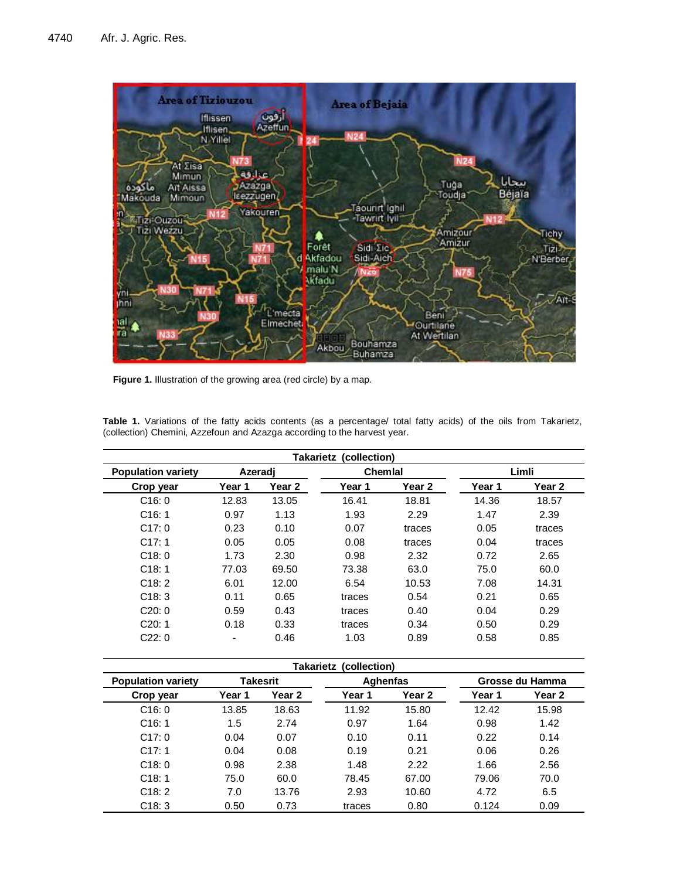

Figure 1. Illustration of the growing area (red circle) by a map.

| <b>Takarietz (collection)</b> |         |        |                |        |        |        |  |
|-------------------------------|---------|--------|----------------|--------|--------|--------|--|
| <b>Population variety</b>     | Azeradi |        | <b>Chemial</b> |        | Limli  |        |  |
| Crop year                     | Year 1  | Year 2 | Year 1         | Year 2 | Year 1 | Year 2 |  |
| C16:0                         | 12.83   | 13.05  | 16.41          | 18.81  | 14.36  | 18.57  |  |
| C16:1                         | 0.97    | 1.13   | 1.93           | 2.29   | 1.47   | 2.39   |  |
| C17:0                         | 0.23    | 0.10   | 0.07           | traces | 0.05   | traces |  |
| C17:1                         | 0.05    | 0.05   | 0.08           | traces | 0.04   | traces |  |
| C18:0                         | 1.73    | 2.30   | 0.98           | 2.32   | 0.72   | 2.65   |  |
| C18:1                         | 77.03   | 69.50  | 73.38          | 63.0   | 75.0   | 60.0   |  |
| C18:2                         | 6.01    | 12.00  | 6.54           | 10.53  | 7.08   | 14.31  |  |
| C18:3                         | 0.11    | 0.65   | traces         | 0.54   | 0.21   | 0.65   |  |
| C20:0                         | 0.59    | 0.43   | traces         | 0.40   | 0.04   | 0.29   |  |
| C20:1                         | 0.18    | 0.33   | traces         | 0.34   | 0.50   | 0.29   |  |
| C22:0                         | ٠       | 0.46   | 1.03           | 0.89   | 0.58   | 0.85   |  |

**Table 1.** Variations of the fatty acids contents (as a percentage/ total fatty acids) of the oils from Takarietz, (collection) Chemini, Azzefoun and Azazga according to the harvest year.

| <b>Takarietz (collection)</b> |        |          |          |        |        |                 |
|-------------------------------|--------|----------|----------|--------|--------|-----------------|
| <b>Population variety</b>     |        | Takesrit | Aghenfas |        |        | Grosse du Hamma |
| Crop year                     | Year 1 | Year 2   | Year 1   | Year 2 | Year 1 | Year 2          |
| C16:0                         | 13.85  | 18.63    | 11.92    | 15.80  | 12.42  | 15.98           |
| C16:1                         | 1.5    | 2.74     | 0.97     | 1.64   | 0.98   | 1.42            |
| C17:0                         | 0.04   | 0.07     | 0.10     | 0.11   | 0.22   | 0.14            |
| C17:1                         | 0.04   | 0.08     | 0.19     | 0.21   | 0.06   | 0.26            |
| C18:0                         | 0.98   | 2.38     | 1.48     | 2.22   | 1.66   | 2.56            |
| C18:1                         | 75.0   | 60.0     | 78.45    | 67.00  | 79.06  | 70.0            |
| C18:2                         | 7.0    | 13.76    | 2.93     | 10.60  | 4.72   | 6.5             |
| C18:3                         | 0.50   | 0.73     | traces   | 0.80   | 0.124  | 0.09            |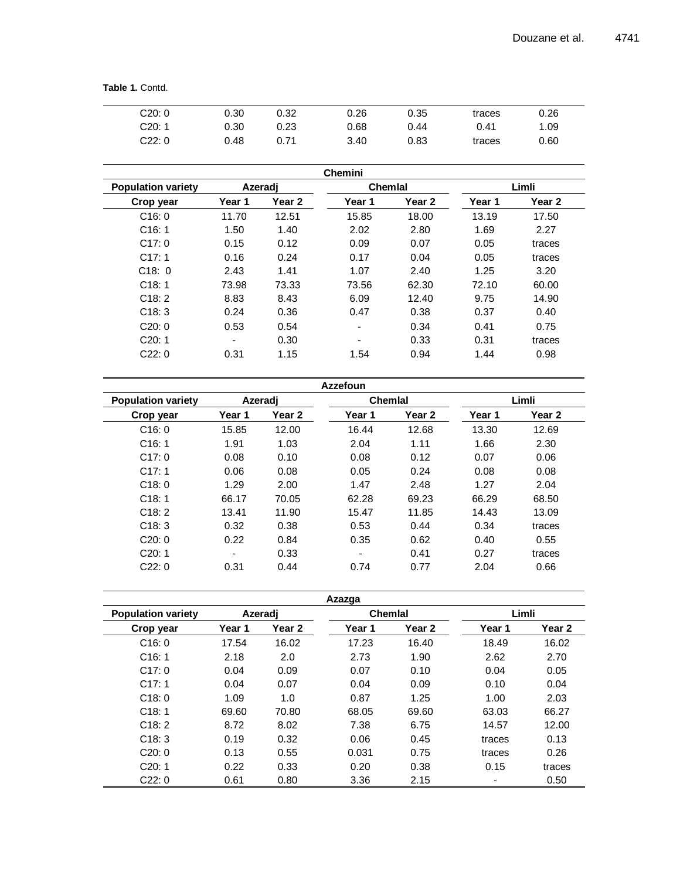**Table 1.** Contd.

| C20:0  | 0.30 | 0.32 | 0.26 | 0.35 | traces | 0.26 |  |
|--------|------|------|------|------|--------|------|--|
| C20: 1 | 0.30 | 0.23 | 0.68 | 0.44 | 0.41   | 1.09 |  |
| C22:0  | 0.48 | 0.71 | 3.40 | 0.83 | traces | 0.60 |  |

| <b>Chemini</b>            |                          |                   |        |         |        |                   |  |  |
|---------------------------|--------------------------|-------------------|--------|---------|--------|-------------------|--|--|
| <b>Population variety</b> |                          | Azeradi           |        | Chemial |        | Limli             |  |  |
| Crop year                 | Year 1                   | Year <sub>2</sub> | Year 1 | Year 2  | Year 1 | Year <sub>2</sub> |  |  |
| C16:0                     | 11.70                    | 12.51             | 15.85  | 18.00   | 13.19  | 17.50             |  |  |
| C16:1                     | 1.50                     | 1.40              | 2.02   | 2.80    | 1.69   | 2.27              |  |  |
| C17:0                     | 0.15                     | 0.12              | 0.09   | 0.07    | 0.05   | traces            |  |  |
| C17:1                     | 0.16                     | 0.24              | 0.17   | 0.04    | 0.05   | traces            |  |  |
| C18:0                     | 2.43                     | 1.41              | 1.07   | 2.40    | 1.25   | 3.20              |  |  |
| C18:1                     | 73.98                    | 73.33             | 73.56  | 62.30   | 72.10  | 60.00             |  |  |
| C18:2                     | 8.83                     | 8.43              | 6.09   | 12.40   | 9.75   | 14.90             |  |  |
| C18:3                     | 0.24                     | 0.36              | 0.47   | 0.38    | 0.37   | 0.40              |  |  |
| C20:0                     | 0.53                     | 0.54              | ۰      | 0.34    | 0.41   | 0.75              |  |  |
| C20:1                     | $\overline{\phantom{a}}$ | 0.30              | -      | 0.33    | 0.31   | traces            |  |  |
| C22:0                     | 0.31                     | 1.15              | 1.54   | 0.94    | 1.44   | 0.98              |  |  |

| <b>Azzefoun</b>           |        |         |         |        |        |        |  |
|---------------------------|--------|---------|---------|--------|--------|--------|--|
| <b>Population variety</b> |        | Azeradi | Chemial |        |        | Limli  |  |
| Crop year                 | Year 1 | Year 2  | Year 1  | Year 2 | Year 1 | Year 2 |  |
| C16:0                     | 15.85  | 12.00   | 16.44   | 12.68  | 13.30  | 12.69  |  |
| C16:1                     | 1.91   | 1.03    | 2.04    | 1.11   | 1.66   | 2.30   |  |
| C17:0                     | 0.08   | 0.10    | 0.08    | 0.12   | 0.07   | 0.06   |  |
| C17:1                     | 0.06   | 0.08    | 0.05    | 0.24   | 0.08   | 0.08   |  |
| C18:0                     | 1.29   | 2.00    | 1.47    | 2.48   | 1.27   | 2.04   |  |
| C18:1                     | 66.17  | 70.05   | 62.28   | 69.23  | 66.29  | 68.50  |  |
| C18:2                     | 13.41  | 11.90   | 15.47   | 11.85  | 14.43  | 13.09  |  |
| C18:3                     | 0.32   | 0.38    | 0.53    | 0.44   | 0.34   | traces |  |
| C20:0                     | 0.22   | 0.84    | 0.35    | 0.62   | 0.40   | 0.55   |  |
| C20:1                     |        | 0.33    |         | 0.41   | 0.27   | traces |  |
| C22:0                     | 0.31   | 0.44    | 0.74    | 0.77   | 2.04   | 0.66   |  |

| Azazga                    |        |         |                |        |        |        |  |
|---------------------------|--------|---------|----------------|--------|--------|--------|--|
| <b>Population variety</b> |        | Azeradi | <b>Chemial</b> |        | Limli  |        |  |
| Crop year                 | Year 1 | Year 2  | Year 1         | Year 2 | Year 1 | Year 2 |  |
| C16:0                     | 17.54  | 16.02   | 17.23          | 16.40  | 18.49  | 16.02  |  |
| C16:1                     | 2.18   | 2.0     | 2.73           | 1.90   | 2.62   | 2.70   |  |
| C17:0                     | 0.04   | 0.09    | 0.07           | 0.10   | 0.04   | 0.05   |  |
| C17:1                     | 0.04   | 0.07    | 0.04           | 0.09   | 0.10   | 0.04   |  |
| C18:0                     | 1.09   | 1.0     | 0.87           | 1.25   | 1.00   | 2.03   |  |
| C18:1                     | 69.60  | 70.80   | 68.05          | 69.60  | 63.03  | 66.27  |  |
| C18:2                     | 8.72   | 8.02    | 7.38           | 6.75   | 14.57  | 12.00  |  |
| C18:3                     | 0.19   | 0.32    | 0.06           | 0.45   | traces | 0.13   |  |
| C20:0                     | 0.13   | 0.55    | 0.031          | 0.75   | traces | 0.26   |  |
| C20:1                     | 0.22   | 0.33    | 0.20           | 0.38   | 0.15   | traces |  |
| C22:0                     | 0.61   | 0.80    | 3.36           | 2.15   |        | 0.50   |  |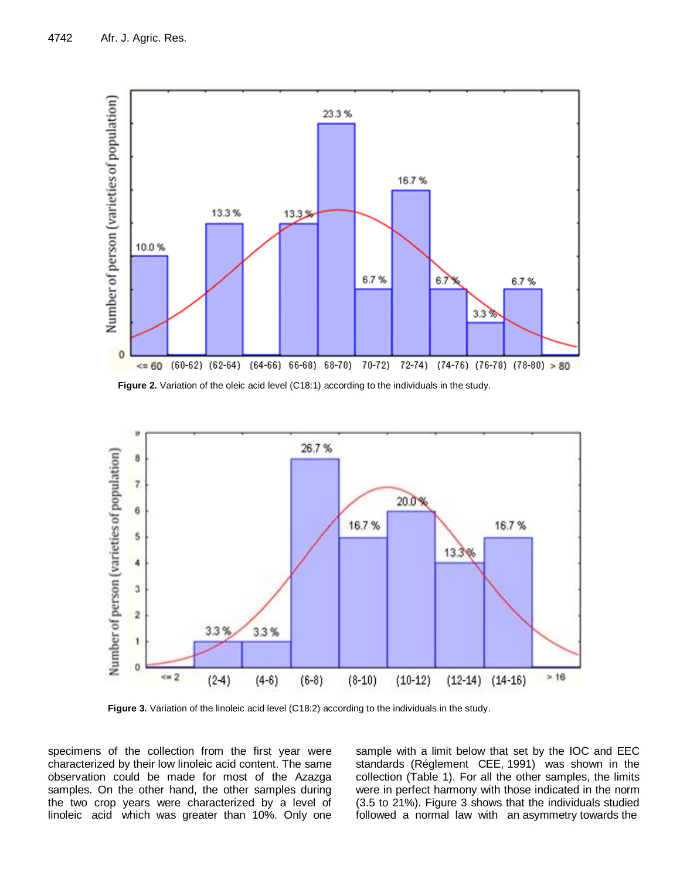

Figure 2. Variation of the oleic acid level (C18:1) according to the individuals in the study.



Figure 3. Variation of the linoleic acid level (C18:2) according to the individuals in the study.

specimens of the collection from the first year were characterized by their low linoleic acid content. The same observation could be made for most of the Azazga samples. On the other hand, the other samples during the two crop years were characterized by a level of linoleic acid which was greater than 10%. Only one sample with a limit below that set by the IOC and EEC standards (Réglement CEE, 1991) was shown in the collection (Table 1). For all the other samples, the limits were in perfect harmony with those indicated in the norm (3.5 to 21%). Figure 3 shows that the individuals studied followed a normal law with an asymmetry towards the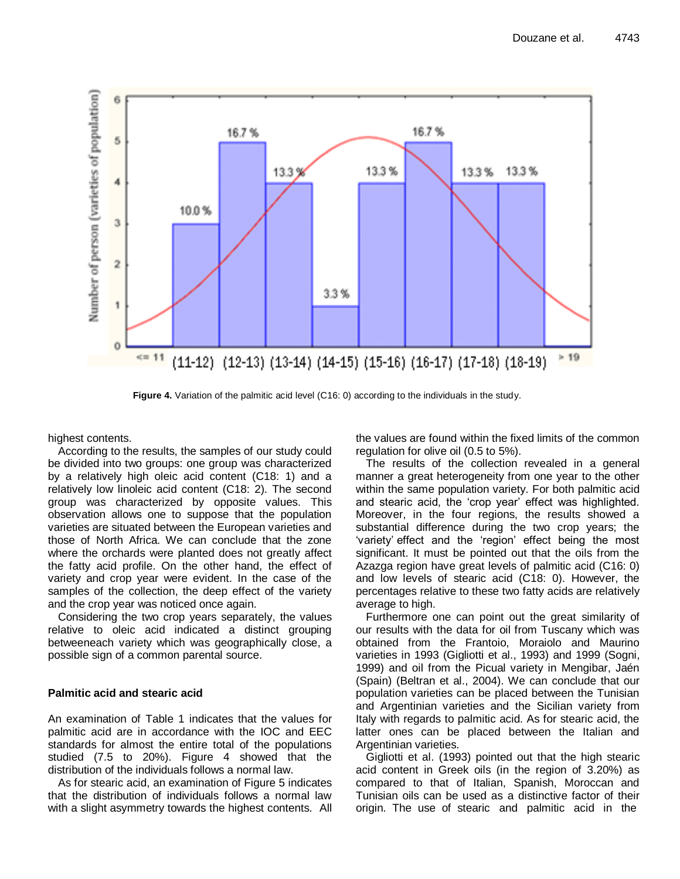

**Figure 4.** Variation of the palmitic acid level (C16: 0) according to the individuals in the study.

highest contents.

According to the results, the samples of our study could be divided into two groups: one group was characterized by a relatively high oleic acid content (C18: 1) and a relatively low linoleic acid content (C18: 2). The second group was characterized by opposite values. This observation allows one to suppose that the population varieties are situated between the European varieties and those of North Africa. We can conclude that the zone where the orchards were planted does not greatly affect the fatty acid profile. On the other hand, the effect of variety and crop year were evident. In the case of the samples of the collection, the deep effect of the variety and the crop year was noticed once again.

Considering the two crop years separately, the values relative to oleic acid indicated a distinct grouping betweeneach variety which was geographically close, a possible sign of a common parental source.

## **Palmitic acid and stearic acid**

An examination of Table 1 indicates that the values for palmitic acid are in accordance with the IOC and EEC standards for almost the entire total of the populations studied (7.5 to 20%). Figure 4 showed that the distribution of the individuals follows a normal law.

As for stearic acid, an examination of Figure 5 indicates that the distribution of individuals follows a normal law with a slight asymmetry towards the highest contents. All the values are found within the fixed limits of the common regulation for olive oil (0.5 to 5%).

The results of the collection revealed in a general manner a great heterogeneity from one year to the other within the same population variety. For both palmitic acid and stearic acid, the "crop year" effect was highlighted. Moreover, in the four regions, the results showed a substantial difference during the two crop years; the "variety" effect and the "region" effect being the most significant. It must be pointed out that the oils from the Azazga region have great levels of palmitic acid (C16: 0) and low levels of stearic acid (C18: 0). However, the percentages relative to these two fatty acids are relatively average to high.

Furthermore one can point out the great similarity of our results with the data for oil from Tuscany which was obtained from the Frantoio, Moraiolo and Maurino varieties in 1993 (Gigliotti et al., 1993) and 1999 (Sogni, 1999) and oil from the Picual variety in Mengibar, Jaén (Spain) (Beltran et al., 2004). We can conclude that our population varieties can be placed between the Tunisian and Argentinian varieties and the Sicilian variety from Italy with regards to palmitic acid. As for stearic acid, the latter ones can be placed between the Italian and Argentinian varieties.

Gigliotti et al. (1993) pointed out that the high stearic acid content in Greek oils (in the region of 3.20%) as compared to that of Italian, Spanish, Moroccan and Tunisian oils can be used as a distinctive factor of their origin. The use of stearic and palmitic acid in the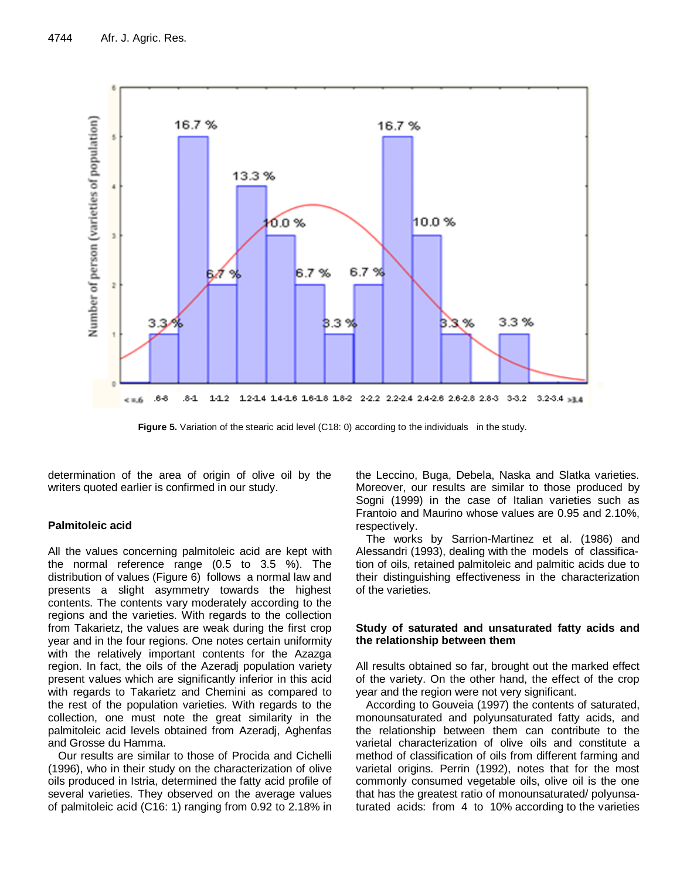

**Figure 5.** Variation of the stearic acid level (C18: 0) according to the individuals in the study.

determination of the area of origin of olive oil by the writers quoted earlier is confirmed in our study.

## **Palmitoleic acid**

All the values concerning palmitoleic acid are kept with the normal reference range (0.5 to 3.5 %). The distribution of values (Figure 6) follows a normal law and presents a slight asymmetry towards the highest contents. The contents vary moderately according to the regions and the varieties. With regards to the collection from Takarietz, the values are weak during the first crop year and in the four regions. One notes certain uniformity with the relatively important contents for the Azazga region. In fact, the oils of the Azeradj population variety present values which are significantly inferior in this acid with regards to Takarietz and Chemini as compared to the rest of the population varieties. With regards to the collection, one must note the great similarity in the palmitoleic acid levels obtained from Azeradj, Aghenfas and Grosse du Hamma.

Our results are similar to those of Procida and Cichelli (1996), who in their study on the characterization of olive oils produced in Istria, determined the fatty acid profile of several varieties. They observed on the average values of palmitoleic acid (C16: 1) ranging from 0.92 to 2.18% in the Leccino, Buga, Debela, Naska and Slatka varieties. Moreover, our results are similar to those produced by Sogni (1999) in the case of Italian varieties such as Frantoio and Maurino whose values are 0.95 and 2.10%, respectively.

The works by Sarrion-Martinez et al. (1986) and Alessandri (1993), dealing with the models of classification of oils, retained palmitoleic and palmitic acids due to their distinguishing effectiveness in the characterization of the varieties.

## **Study of saturated and unsaturated fatty acids and the relationship between them**

All results obtained so far, brought out the marked effect of the variety. On the other hand, the effect of the crop year and the region were not very significant.

According to Gouveia (1997) the contents of saturated, monounsaturated and polyunsaturated fatty acids, and the relationship between them can contribute to the varietal characterization of olive oils and constitute a method of classification of oils from different farming and varietal origins. Perrin (1992), notes that for the most commonly consumed vegetable oils, olive oil is the one that has the greatest ratio of monounsaturated/ polyunsaturated acids: from 4 to 10% according to the varieties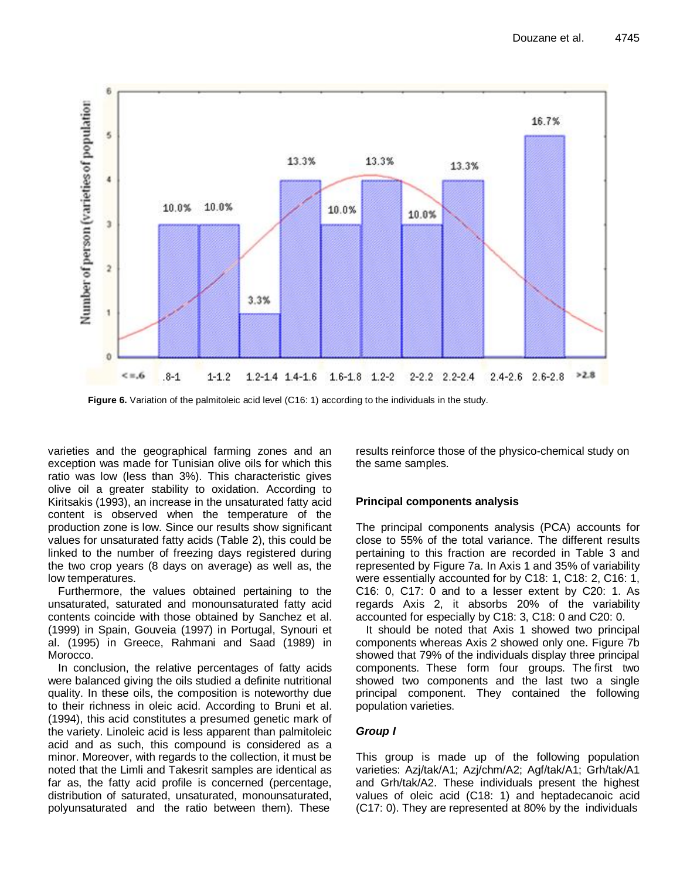

**Figure 6.** Variation of the palmitoleic acid level (C16: 1) according to the individuals in the study.

varieties and the geographical farming zones and an exception was made for Tunisian olive oils for which this ratio was low (less than 3%). This characteristic gives olive oil a greater stability to oxidation. According to Kiritsakis (1993), an increase in the unsaturated fatty acid content is observed when the temperature of the production zone is low. Since our results show significant values for unsaturated fatty acids (Table 2), this could be linked to the number of freezing days registered during the two crop years (8 days on average) as well as, the low temperatures.

Furthermore, the values obtained pertaining to the unsaturated, saturated and monounsaturated fatty acid contents coincide with those obtained by Sanchez et al. (1999) in Spain, Gouveia (1997) in Portugal, Synouri et al. (1995) in Greece, Rahmani and Saad (1989) in Morocco.

In conclusion, the relative percentages of fatty acids were balanced giving the oils studied a definite nutritional quality. In these oils, the composition is noteworthy due to their richness in oleic acid. According to Bruni et al. (1994), this acid constitutes a presumed genetic mark of the variety. Linoleic acid is less apparent than palmitoleic acid and as such, this compound is considered as a minor. Moreover, with regards to the collection, it must be noted that the Limli and Takesrit samples are identical as far as, the fatty acid profile is concerned (percentage, distribution of saturated, unsaturated, monounsaturated, polyunsaturated and the ratio between them). These

results reinforce those of the physico-chemical study on the same samples.

## **Principal components analysis**

The principal components analysis (PCA) accounts for close to 55% of the total variance. The different results pertaining to this fraction are recorded in Table 3 and represented by Figure 7a. In Axis 1 and 35% of variability were essentially accounted for by C18: 1, C18: 2, C16: 1, C16: 0, C17: 0 and to a lesser extent by C20: 1. As regards Axis 2, it absorbs 20% of the variability accounted for especially by C18: 3, C18: 0 and C20: 0.

It should be noted that Axis 1 showed two principal components whereas Axis 2 showed only one. Figure 7b showed that 79% of the individuals display three principal components. These form four groups. The first two showed two components and the last two a single principal component. They contained the following population varieties.

# *Group I*

This group is made up of the following population varieties: Azj/tak/A1; Azj/chm/A2; Agf/tak/A1; Grh/tak/A1 and Grh/tak/A2. These individuals present the highest values of oleic acid (C18: 1) and heptadecanoic acid (C17: 0). They are represented at 80% by the individuals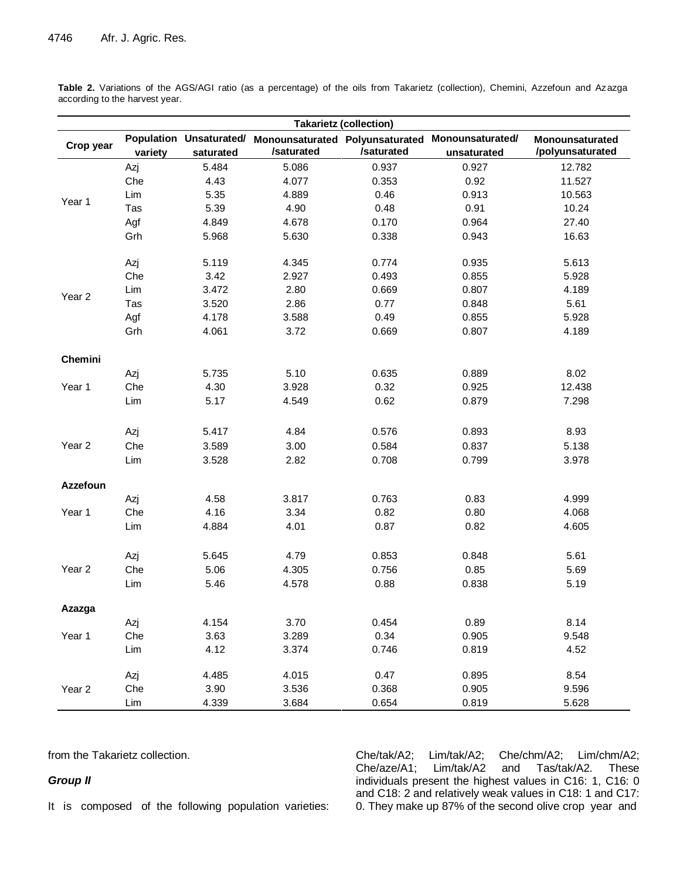**Takarietz (collection) Crop year Population Unsaturated/ variety saturated Monounsaturated Polyunsaturated Monounsaturated/ /saturated /saturated unsaturated Monounsaturated /polyunsaturated** Year 1 Azj 5.484 5.086 0.937 0.927 12.782 Che 4.43 4.077 0.353 0.92 11.527 Lim 5.35 4.889 0.46 0.913 10.563 Tas 5.39 4.90 0.48 0.91 10.24 Agf 4.849 4.678 0.170 0.964 27.40 Grh 5.968 5.630 0.338 0.943 16.63 Year 2 Azj 5.119 4.345 0.774 0.935 5.613 Che 3.42 2.927 0.493 0.855 5.928 Lim 3.472 2.80 0.669 0.807 4.189 Tas 3.520 2.86 0.77 0.848 5.61 Agf 4.178 3.588 0.49 0.855 5.928 Grh 4.061 3.72 0.669 0.807 4.189 **Chemini** Year 1 Azj 5.735 5.10 0.635 0.889 8.02 Che 4.30 3.928 0.32 0.925 12.438 Lim 5.17 4.549 0.62 0.879 7.298 Year 2 Azj 5.417 4.84 0.576 0.893 8.93 Che 3.589 3.00 0.584 0.837 5.138 Lim 3.528 2.82 0.708 0.799 3.978 **Azzefoun** Year 1 Azj 4.58 3.817 0.763 0.83 4.999 Che 4.16 3.34 0.82 0.80 4.068 Lim 4.884 4.01 0.87 0.82 4.605 Year 2 Azj 5.645 4.79 0.853 0.848 5.61 Che 5.06 4.305 0.756 0.85 5.69 Lim 5.46 4.578 0.88 0.838 5.19 **Azazga** Year 1 Azj 4.154 3.70 0.454 0.89 8.14 Che 3.63 3.289 0.34 0.905 9.548 Lim 4.12 3.374 0.746 0.819 4.52 Year 2 Azj 4.485 4.015 0.47 0.895 8.54 Che 3.90 3.536 0.368 0.905 9.596 Lim 4.339 3.684 0.654 0.819 5.628

Table 2. Variations of the AGS/AGI ratio (as a percentage) of the oils from Takarietz (collection), Chemini, Azzefoun and Azazga according to the harvest year.

from the Takarietz collection.

### *Group II*

It is composed of the following population varieties:

Che/tak/A2; Lim/tak/A2; Che/chm/A2; Lim/chm/A2; Che/aze/A1; Lim/tak/A2 and Tas/tak/A2. These individuals present the highest values in C16: 1, C16: 0 and C18: 2 and relatively weak values in C18: 1 and C17: 0. They make up 87% of the second olive crop year and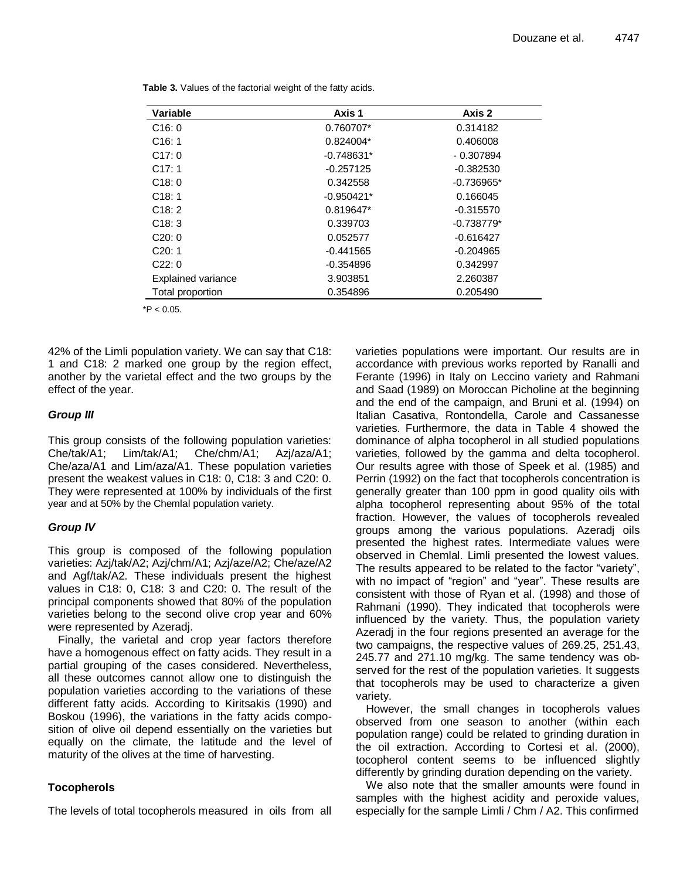| <b>Variable</b>           | Axis 1       | Axis 2       |
|---------------------------|--------------|--------------|
| C16:0                     | 0.760707*    | 0.314182     |
| C16:1                     | $0.824004*$  | 0.406008     |
| C17:0                     | $-0.748631*$ | $-0.307894$  |
| C17:1                     | $-0.257125$  | $-0.382530$  |
| C18:0                     | 0.342558     | $-0.736965*$ |
| C18:1                     | $-0.950421*$ | 0.166045     |
| C18:2                     | $0.819647*$  | $-0.315570$  |
| C18:3                     | 0.339703     | $-0.738779*$ |
| C20:0                     | 0.052577     | $-0.616427$  |
| C20:1                     | -0.441565    | $-0.204965$  |
| C22:0                     | $-0.354896$  | 0.342997     |
| <b>Explained variance</b> | 3.903851     | 2.260387     |
| Total proportion          | 0.354896     | 0.205490     |
|                           |              |              |

**Table 3.** Values of the factorial weight of the fatty acids.

 $*P < 0.05$ 

42% of the Limli population variety. We can say that C18: 1 and C18: 2 marked one group by the region effect, another by the varietal effect and the two groups by the effect of the year.

## *Group III*

This group consists of the following population varieties: Che/tak/A1; Lim/tak/A1; Che/chm/A1; Azj/aza/A1; Che/aza/A1 and Lim/aza/A1. These population varieties present the weakest values in C18: 0, C18: 3 and C20: 0. They were represented at 100% by individuals of the first year and at 50% by the Chemlal population variety.

## *Group IV*

This group is composed of the following population varieties: Azj/tak/A2; Azj/chm/A1; Azj/aze/A2; Che/aze/A2 and Agf/tak/A2. These individuals present the highest values in C18: 0, C18: 3 and C20: 0. The result of the principal components showed that 80% of the population varieties belong to the second olive crop year and 60% were represented by Azeradj.

Finally, the varietal and crop year factors therefore have a homogenous effect on fatty acids. They result in a partial grouping of the cases considered. Nevertheless, all these outcomes cannot allow one to distinguish the population varieties according to the variations of these different fatty acids. According to Kiritsakis (1990) and Boskou (1996), the variations in the fatty acids composition of olive oil depend essentially on the varieties but equally on the climate, the latitude and the level of maturity of the olives at the time of harvesting.

# **Tocopherols**

The levels of total tocopherols measured in oils from all

varieties populations were important. Our results are in accordance with previous works reported by Ranalli and Ferante (1996) in Italy on Leccino variety and Rahmani and Saad (1989) on Moroccan Picholine at the beginning and the end of the campaign, and Bruni et al. (1994) on Italian Casativa, Rontondella, Carole and Cassanesse varieties. Furthermore, the data in Table 4 showed the dominance of alpha tocopherol in all studied populations varieties, followed by the gamma and delta tocopherol. Our results agree with those of Speek et al. (1985) and Perrin (1992) on the fact that tocopherols concentration is generally greater than 100 ppm in good quality oils with alpha tocopherol representing about 95% of the total fraction. However, the values of tocopherols revealed groups among the various populations. Azeradj oils presented the highest rates. Intermediate values were observed in Chemlal. Limli presented the lowest values. The results appeared to be related to the factor "variety", with no impact of "region" and "year". These results are consistent with those of Ryan et al. (1998) and those of Rahmani (1990). They indicated that tocopherols were influenced by the variety. Thus, the population variety Azeradj in the four regions presented an average for the two campaigns, the respective values of 269.25, 251.43, 245.77 and 271.10 mg/kg. The same tendency was observed for the rest of the population varieties. It suggests that tocopherols may be used to characterize a given variety.

However, the small changes in tocopherols values observed from one season to another (within each population range) could be related to grinding duration in the oil extraction. According to Cortesi et al. (2000), tocopherol content seems to be influenced slightly differently by grinding duration depending on the variety.

We also note that the smaller amounts were found in samples with the highest acidity and peroxide values, especially for the sample Limli / Chm / A2. This confirmed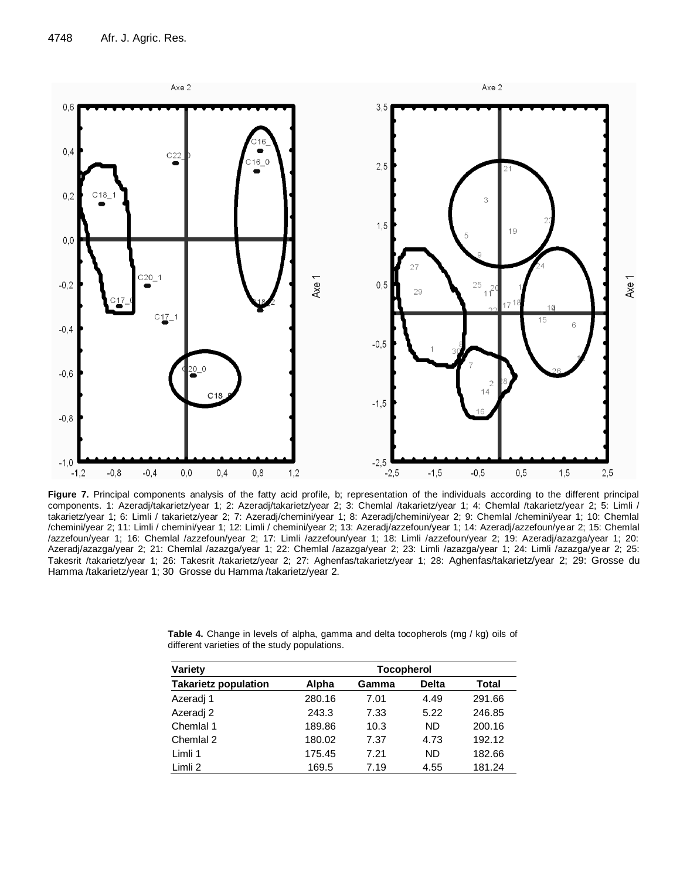

Figure 7. Principal components analysis of the fatty acid profile, b; representation of the individuals according to the different principal components. 1: Azeradj/takarietz/year 1; 2: Azeradj/takarietz/year 2; 3: Chemlal /takarietz/year 1; 4: Chemlal /takarietz/year 2; 5: Limli / takarietz/year 1; 6: Limli / takarietz/year 2; 7: Azeradj/chemini/year 1; 8: Azeradj/chemini/year 2; 9: Chemlal /chemini/year 1; 10: Chemlal /chemini/year 2; 11: Limli / chemini/year 1; 12: Limli / chemini/year 2; 13: Azeradj/azzefoun/year 1; 14: Azeradj/azzefoun/year 2; 15: Chemlal /azzefoun/year 1; 16: Chemlal /azzefoun/year 2; 17: Limli /azzefoun/year 1; 18: Limli /azzefoun/year 2; 19: Azeradj/azazga/year 1; 20: Azeradj/azazga/year 2; 21: Chemlal /azazga/year 1; 22: Chemlal /azazga/year 2; 23: Limli /azazga/year 1; 24: Limli /azazga/year 2; 25: Takesrit /takarietz/year 1; 26: Takesrit /takarietz/year 2; 27: Aghenfas/takarietz/year 1; 28: Aghenfas/takarietz/year 2; 29: Grosse du Hamma /takarietz/year 1; 30 Grosse du Hamma /takarietz/year 2.

| Variety                     | <b>Tocopherol</b> |       |              |              |  |  |  |
|-----------------------------|-------------------|-------|--------------|--------------|--|--|--|
| <b>Takarietz population</b> | Alpha             | Gamma | <b>Delta</b> | <b>Total</b> |  |  |  |
| Azeradj 1                   | 280.16            | 7.01  | 4.49         | 291.66       |  |  |  |
| Azeradi 2                   | 243.3             | 7.33  | 5.22         | 246.85       |  |  |  |
| Chemial 1                   | 189.86            | 10.3  | <b>ND</b>    | 200.16       |  |  |  |
| Chemial 2                   | 180.02            | 7.37  | 4.73         | 192.12       |  |  |  |
| Limli 1                     | 175.45            | 7.21  | <b>ND</b>    | 182.66       |  |  |  |
| Limli 2                     | 169.5             | 7.19  | 4.55         | 181.24       |  |  |  |

**Table 4.** Change in levels of alpha, gamma and delta tocopherols (mg / kg) oils of different varieties of the study populations.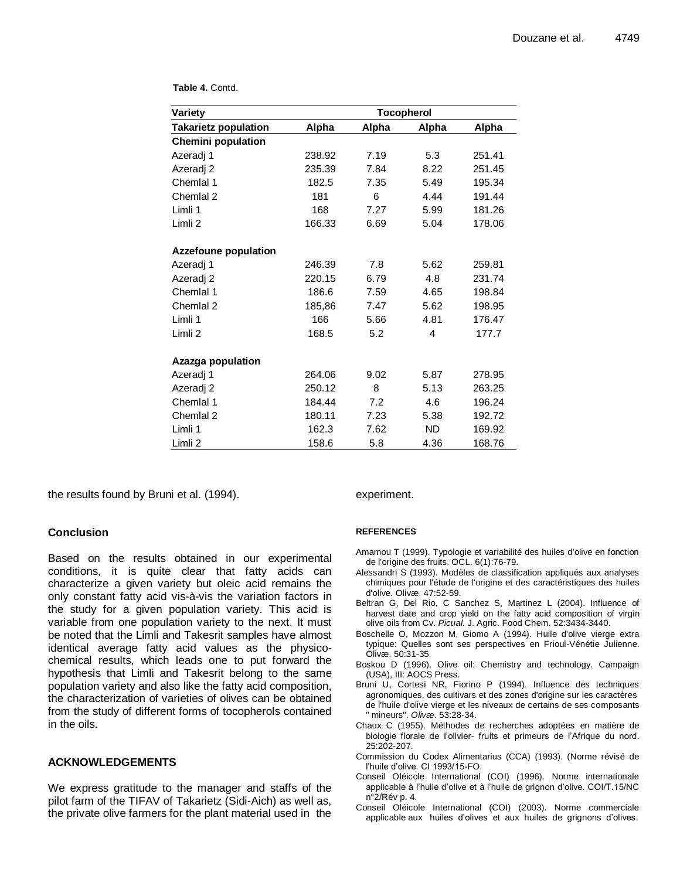| Variety                     |        |       | <b>Tocopherol</b> |        |
|-----------------------------|--------|-------|-------------------|--------|
| <b>Takarietz population</b> | Alpha  | Alpha | Alpha             | Alpha  |
| <b>Chemini population</b>   |        |       |                   |        |
| Azeradj 1                   | 238.92 | 7.19  | 5.3               | 251.41 |
| Azeradj 2                   | 235.39 | 7.84  | 8.22              | 251.45 |
| Chemlal 1                   | 182.5  | 7.35  | 5.49              | 195.34 |
| Chemlal 2                   | 181    | 6     | 4.44              | 191.44 |
| Limli 1                     | 168    | 7.27  | 5.99              | 181.26 |
| Limli 2                     | 166.33 | 6.69  | 5.04              | 178.06 |
| <b>Azzefoune population</b> |        |       |                   |        |
| Azeradj 1                   | 246.39 | 7.8   | 5.62              | 259.81 |
| Azeradj 2                   | 220.15 | 6.79  | 4.8               | 231.74 |
| Chemlal 1                   | 186.6  | 7.59  | 4.65              | 198.84 |
| Chemlal 2                   | 185,86 | 7.47  | 5.62              | 198.95 |
| Limli 1                     | 166    | 5.66  | 4.81              | 176.47 |
| Limli 2                     | 168.5  | 5.2   | 4                 | 177.7  |
| Azazga population           |        |       |                   |        |
| Azeradj 1                   | 264.06 | 9.02  | 5.87              | 278.95 |
| Azeradj 2                   | 250.12 | 8     | 5.13              | 263.25 |
| Chemlal 1                   | 184.44 | 7.2   | 4.6               | 196.24 |
| Chemlal 2                   | 180.11 | 7.23  | 5.38              | 192.72 |
| Limli 1                     | 162.3  | 7.62  | <b>ND</b>         | 169.92 |
| Limli <sub>2</sub>          | 158.6  | 5.8   | 4.36              | 168.76 |

the results found by Bruni et al. (1994).

## **Conclusion**

Based on the results obtained in our experimental conditions, it is quite clear that fatty acids can characterize a given variety but oleic acid remains the only constant fatty acid vis-à-vis the variation factors in the study for a given population variety. This acid is variable from one population variety to the next. It must be noted that the Limli and Takesrit samples have almost identical average fatty acid values as the physicochemical results, which leads one to put forward the hypothesis that Limli and Takesrit belong to the same population variety and also like the fatty acid composition, the characterization of varieties of olives can be obtained from the study of different forms of tocopherols contained in the oils.

### **ACKNOWLEDGEMENTS**

We express gratitude to the manager and staffs of the pilot farm of the TIFAV of Takarietz (Sidi-Aich) as well as, the private olive farmers for the plant material used in the experiment.

#### **REFERENCES**

- Amamou T (1999). Typologie et variabilité des huiles d'olive en fonction de l'origine des fruits. OCL. 6(1):76-79.
- Alessandri S (1993). Modèles de classification appliqués aux analyses chimiques pour l'étude de l'origine et des caractéristiques des huiles d'olive. Olivæ. 47:52-59.
- Beltran G, Del Rio, C Sanchez S, Martinez L (2004). Influence of harvest date and crop yield on the fatty acid composition of virgin olive oils from Cv. *Picual*. J. Agric. Food Chem. 52:3434-3440.
- Boschelle O, Mozzon M, Giomo A (1994). Huile d'olive vierge extra typique: Quelles sont ses perspectives en Frioul-Vénétie Julienne. Olivæ. 50:31-35.
- Boskou D (1996). Olive oil: Chemistry and technology. Campaign (USA), III: AOCS Press.
- Bruni U, Cortesi NR, Fiorino P (1994). Influence des techniques agronomiques, des cultivars et des zones d'origine sur les caractères de l'huile d'olive vierge et les niveaux de certains de ses composants " mineurs". *Olivæ*. 53:28-34.
- Chaux C (1955). Méthodes de recherches adoptées en matière de biologie florale de l"olivier- fruits et primeurs de l"Afrique du nord. 25:202-207.
- Commission du Codex Alimentarius (CCA) (1993). (Norme révisé de l"huile d"olive. CI 1993/15-FO.
- Conseil Oléicole International (COI) (1996). Norme internationale applicable à l"huile d"olive et à l"huile de grignon d"olive. COI/T.15/NC n°2/Rév p. 4.
- Conseil Oléicole International (COI) (2003). Norme commerciale applicable aux huiles d"olives et aux huiles de grignons d"olives.